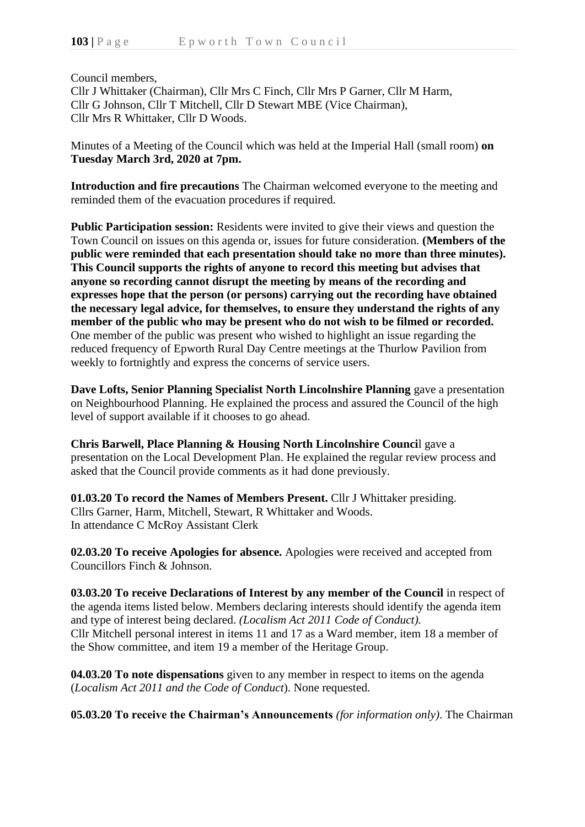Council members,

Cllr J Whittaker (Chairman), Cllr Mrs C Finch, Cllr Mrs P Garner, Cllr M Harm, Cllr G Johnson, Cllr T Mitchell, Cllr D Stewart MBE (Vice Chairman), Cllr Mrs R Whittaker, Cllr D Woods.

Minutes of a Meeting of the Council which was held at the Imperial Hall (small room) **on Tuesday March 3rd, 2020 at 7pm.**

**Introduction and fire precautions** The Chairman welcomed everyone to the meeting and reminded them of the evacuation procedures if required.

**Public Participation session:** Residents were invited to give their views and question the Town Council on issues on this agenda or, issues for future consideration. **(Members of the public were reminded that each presentation should take no more than three minutes). This Council supports the rights of anyone to record this meeting but advises that anyone so recording cannot disrupt the meeting by means of the recording and expresses hope that the person (or persons) carrying out the recording have obtained the necessary legal advice, for themselves, to ensure they understand the rights of any member of the public who may be present who do not wish to be filmed or recorded.** One member of the public was present who wished to highlight an issue regarding the reduced frequency of Epworth Rural Day Centre meetings at the Thurlow Pavilion from weekly to fortnightly and express the concerns of service users.

**Dave Lofts, Senior Planning Specialist North Lincolnshire Planning** gave a presentation on Neighbourhood Planning. He explained the process and assured the Council of the high level of support available if it chooses to go ahead.

**Chris Barwell, Place Planning & Housing North Lincolnshire Counci**l gave a presentation on the Local Development Plan. He explained the regular review process and asked that the Council provide comments as it had done previously.

**01.03.20 To record the Names of Members Present.** Cllr J Whittaker presiding. Cllrs Garner, Harm, Mitchell, Stewart, R Whittaker and Woods. In attendance C McRoy Assistant Clerk

**02.03.20 To receive Apologies for absence.** Apologies were received and accepted from Councillors Finch & Johnson.

**03.03.20 To receive Declarations of Interest by any member of the Council** in respect of the agenda items listed below. Members declaring interests should identify the agenda item and type of interest being declared. *(Localism Act 2011 Code of Conduct).* Cllr Mitchell personal interest in items 11 and 17 as a Ward member, item 18 a member of the Show committee, and item 19 a member of the Heritage Group.

**04.03.20 To note dispensations** given to any member in respect to items on the agenda (*Localism Act 2011 and the Code of Conduct*). None requested.

**05.03.20 To receive the Chairman's Announcements** *(for information only)*. The Chairman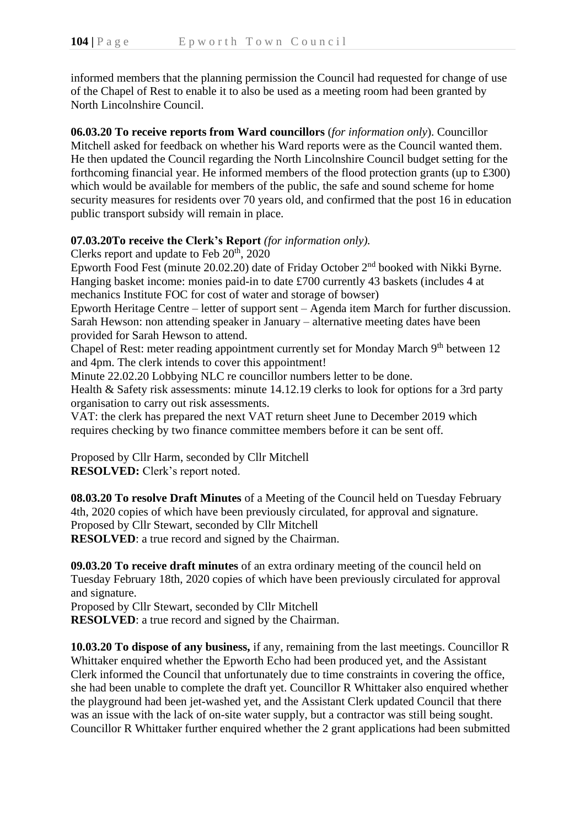informed members that the planning permission the Council had requested for change of use of the Chapel of Rest to enable it to also be used as a meeting room had been granted by North Lincolnshire Council.

**06.03.20 To receive reports from Ward councillors** (*for information only*). Councillor Mitchell asked for feedback on whether his Ward reports were as the Council wanted them. He then updated the Council regarding the North Lincolnshire Council budget setting for the forthcoming financial year. He informed members of the flood protection grants (up to £300) which would be available for members of the public, the safe and sound scheme for home security measures for residents over 70 years old, and confirmed that the post 16 in education public transport subsidy will remain in place.

## **07.03.20To receive the Clerk's Report** *(for information only).*

Clerks report and update to Feb  $20<sup>th</sup>$ , 2020

Epworth Food Fest (minute 20.02.20) date of Friday October 2nd booked with Nikki Byrne. Hanging basket income: monies paid-in to date £700 currently 43 baskets (includes 4 at mechanics Institute FOC for cost of water and storage of bowser)

Epworth Heritage Centre – letter of support sent – Agenda item March for further discussion. Sarah Hewson: non attending speaker in January – alternative meeting dates have been provided for Sarah Hewson to attend.

Chapel of Rest: meter reading appointment currently set for Monday March 9<sup>th</sup> between 12 and 4pm. The clerk intends to cover this appointment!

Minute 22.02.20 Lobbying NLC re councillor numbers letter to be done.

Health & Safety risk assessments: minute 14.12.19 clerks to look for options for a 3rd party organisation to carry out risk assessments.

VAT: the clerk has prepared the next VAT return sheet June to December 2019 which requires checking by two finance committee members before it can be sent off.

Proposed by Cllr Harm, seconded by Cllr Mitchell **RESOLVED:** Clerk's report noted.

**08.03.20 To resolve Draft Minutes** of a Meeting of the Council held on Tuesday February 4th, 2020 copies of which have been previously circulated, for approval and signature. Proposed by Cllr Stewart, seconded by Cllr Mitchell **RESOLVED**: a true record and signed by the Chairman.

**09.03.20 To receive draft minutes** of an extra ordinary meeting of the council held on Tuesday February 18th, 2020 copies of which have been previously circulated for approval and signature.

Proposed by Cllr Stewart, seconded by Cllr Mitchell

**RESOLVED**: a true record and signed by the Chairman.

**10.03.20 To dispose of any business,** if any, remaining from the last meetings. Councillor R Whittaker enquired whether the Epworth Echo had been produced yet, and the Assistant Clerk informed the Council that unfortunately due to time constraints in covering the office, she had been unable to complete the draft yet. Councillor R Whittaker also enquired whether the playground had been jet-washed yet, and the Assistant Clerk updated Council that there was an issue with the lack of on-site water supply, but a contractor was still being sought. Councillor R Whittaker further enquired whether the 2 grant applications had been submitted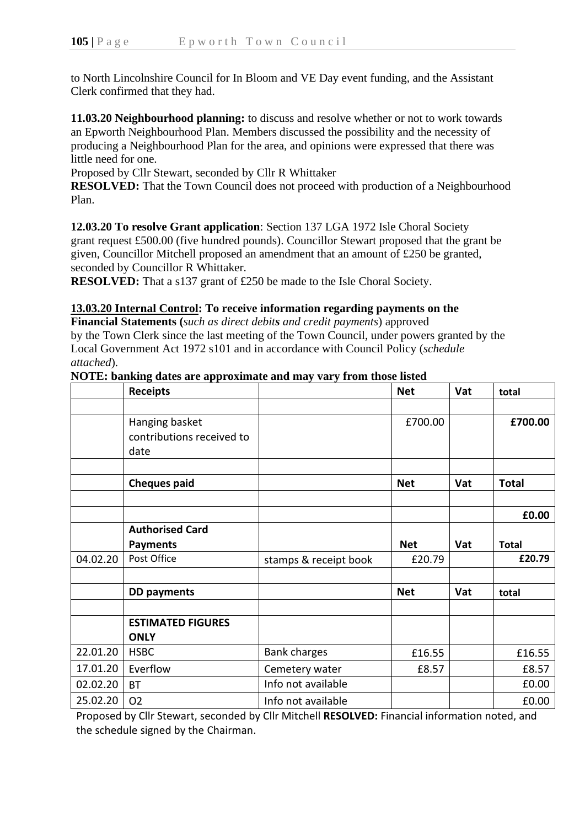to North Lincolnshire Council for In Bloom and VE Day event funding, and the Assistant Clerk confirmed that they had.

**11.03.20 Neighbourhood planning:** to discuss and resolve whether or not to work towards an Epworth Neighbourhood Plan. Members discussed the possibility and the necessity of producing a Neighbourhood Plan for the area, and opinions were expressed that there was little need for one.

Proposed by Cllr Stewart, seconded by Cllr R Whittaker

**RESOLVED:** That the Town Council does not proceed with production of a Neighbourhood Plan.

**12.03.20 To resolve Grant application**: Section 137 LGA 1972 Isle Choral Society grant request £500.00 (five hundred pounds). Councillor Stewart proposed that the grant be given, Councillor Mitchell proposed an amendment that an amount of £250 be granted, seconded by Councillor R Whittaker.

**RESOLVED:** That a s137 grant of £250 be made to the Isle Choral Society.

## **13.03.20 Internal Control: To receive information regarding payments on the**

**Financial Statements (***such as direct debits and credit payments*) approved by the Town Clerk since the last meeting of the Town Council, under powers granted by the Local Government Act 1972 s101 and in accordance with Council Policy (*schedule attached*).

## **NOTE: banking dates are approximate and may vary from those listed**

|          | <b>Receipts</b>           |                       | <b>Net</b> | Vat | total        |
|----------|---------------------------|-----------------------|------------|-----|--------------|
|          |                           |                       |            |     |              |
|          | Hanging basket            |                       | £700.00    |     | £700.00      |
|          | contributions received to |                       |            |     |              |
|          | date                      |                       |            |     |              |
|          |                           |                       |            |     |              |
|          | <b>Cheques paid</b>       |                       | <b>Net</b> | Vat | <b>Total</b> |
|          |                           |                       |            |     |              |
|          |                           |                       |            |     | £0.00        |
|          | <b>Authorised Card</b>    |                       |            |     |              |
|          | <b>Payments</b>           |                       | <b>Net</b> | Vat | <b>Total</b> |
| 04.02.20 | Post Office               | stamps & receipt book | £20.79     |     | £20.79       |
|          |                           |                       |            |     |              |
|          | <b>DD</b> payments        |                       | <b>Net</b> | Vat | total        |
|          |                           |                       |            |     |              |
|          | <b>ESTIMATED FIGURES</b>  |                       |            |     |              |
|          | <b>ONLY</b>               |                       |            |     |              |
| 22.01.20 | <b>HSBC</b>               | <b>Bank charges</b>   | £16.55     |     | £16.55       |
| 17.01.20 | Everflow                  | Cemetery water        | £8.57      |     | £8.57        |
| 02.02.20 | <b>BT</b>                 | Info not available    |            |     | £0.00        |
| 25.02.20 | <b>O2</b>                 | Info not available    |            |     | £0.00        |

Proposed by Cllr Stewart, seconded by Cllr Mitchell **RESOLVED:** Financial information noted, and the schedule signed by the Chairman.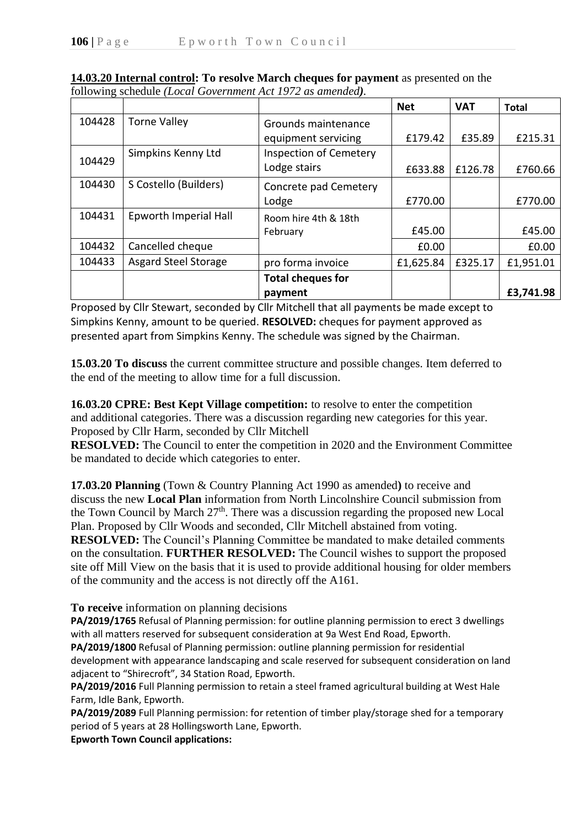|        |                             |                               | <b>Net</b> | <b>VAT</b> | <b>Total</b> |
|--------|-----------------------------|-------------------------------|------------|------------|--------------|
| 104428 | <b>Torne Valley</b>         | Grounds maintenance           |            |            |              |
|        |                             | equipment servicing           | £179.42    | £35.89     | £215.31      |
| 104429 | Simpkins Kenny Ltd          | <b>Inspection of Cemetery</b> |            |            |              |
|        |                             | Lodge stairs                  | £633.88    | £126.78    | £760.66      |
| 104430 | S Costello (Builders)       | Concrete pad Cemetery         |            |            |              |
|        |                             | Lodge                         | £770.00    |            | £770.00      |
| 104431 | Epworth Imperial Hall       | Room hire 4th & 18th          |            |            |              |
|        |                             | February                      | £45.00     |            | £45.00       |
| 104432 | Cancelled cheque            |                               | £0.00      |            | £0.00        |
| 104433 | <b>Asgard Steel Storage</b> | pro forma invoice             | £1,625.84  | £325.17    | £1,951.01    |
|        |                             | <b>Total cheques for</b>      |            |            |              |
|        |                             | payment                       |            |            | £3,741.98    |

**14.03.20 Internal control: To resolve March cheques for payment** as presented on the following schedule *(Local Government Act 1972 as amended).*

Proposed by Cllr Stewart, seconded by Cllr Mitchell that all payments be made except to Simpkins Kenny, amount to be queried. **RESOLVED:** cheques for payment approved as presented apart from Simpkins Kenny. The schedule was signed by the Chairman.

**15.03.20 To discuss** the current committee structure and possible changes. Item deferred to the end of the meeting to allow time for a full discussion.

**16.03.20 CPRE: Best Kept Village competition:** to resolve to enter the competition and additional categories. There was a discussion regarding new categories for this year. Proposed by Cllr Harm, seconded by Cllr Mitchell

**RESOLVED:** The Council to enter the competition in 2020 and the Environment Committee be mandated to decide which categories to enter.

**17.03.20 Planning** (Town & Country Planning Act 1990 as amended**)** to receive and discuss the new **Local Plan** information from North Lincolnshire Council submission from the Town Council by March 27<sup>th</sup>. There was a discussion regarding the proposed new Local Plan. Proposed by Cllr Woods and seconded, Cllr Mitchell abstained from voting.

**RESOLVED:** The Council's Planning Committee be mandated to make detailed comments on the consultation. **FURTHER RESOLVED:** The Council wishes to support the proposed site off Mill View on the basis that it is used to provide additional housing for older members of the community and the access is not directly off the A161.

**To receive** information on planning decisions

**PA/2019/1765** Refusal of Planning permission: for outline planning permission to erect 3 dwellings with all matters reserved for subsequent consideration at 9a West End Road, Epworth.

**PA/2019/1800** Refusal of Planning permission: outline planning permission for residential development with appearance landscaping and scale reserved for subsequent consideration on land adjacent to "Shirecroft", 34 Station Road, Epworth.

**PA/2019/2016** Full Planning permission to retain a steel framed agricultural building at West Hale Farm, Idle Bank, Epworth.

**PA/2019/2089** Full Planning permission: for retention of timber play/storage shed for a temporary period of 5 years at 28 Hollingsworth Lane, Epworth.

**Epworth Town Council applications:**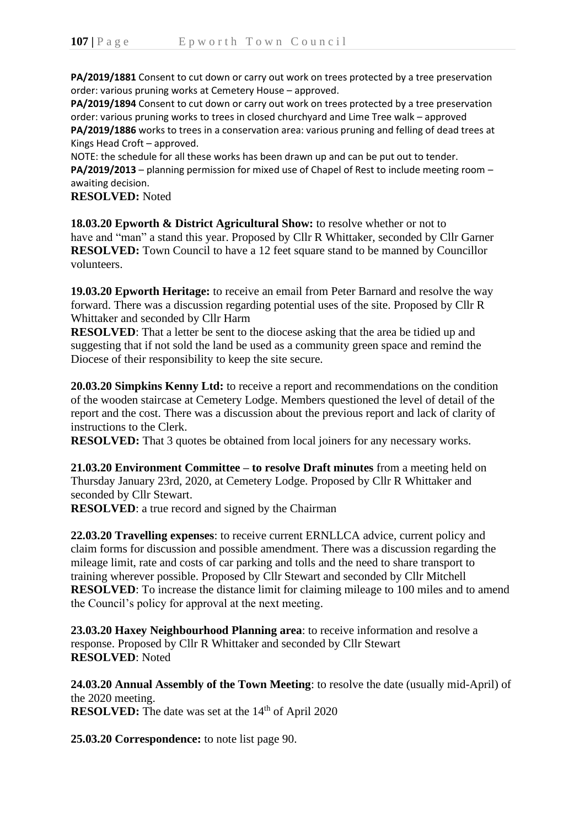**PA/2019/1881** Consent to cut down or carry out work on trees protected by a tree preservation order: various pruning works at Cemetery House – approved.

**PA/2019/1894** Consent to cut down or carry out work on trees protected by a tree preservation order: various pruning works to trees in closed churchyard and Lime Tree walk – approved **PA/2019/1886** works to trees in a conservation area: various pruning and felling of dead trees at Kings Head Croft – approved.

NOTE: the schedule for all these works has been drawn up and can be put out to tender. **PA/2019/2013** – planning permission for mixed use of Chapel of Rest to include meeting room – awaiting decision.

**RESOLVED:** Noted

**18.03.20 Epworth & District Agricultural Show:** to resolve whether or not to have and "man" a stand this year. Proposed by Cllr R Whittaker, seconded by Cllr Garner **RESOLVED:** Town Council to have a 12 feet square stand to be manned by Councillor volunteers.

**19.03.20 Epworth Heritage:** to receive an email from Peter Barnard and resolve the way forward. There was a discussion regarding potential uses of the site. Proposed by Cllr R Whittaker and seconded by Cllr Harm

**RESOLVED:** That a letter be sent to the diocese asking that the area be tidied up and suggesting that if not sold the land be used as a community green space and remind the Diocese of their responsibility to keep the site secure.

**20.03.20 Simpkins Kenny Ltd:** to receive a report and recommendations on the condition of the wooden staircase at Cemetery Lodge. Members questioned the level of detail of the report and the cost. There was a discussion about the previous report and lack of clarity of instructions to the Clerk.

**RESOLVED:** That 3 quotes be obtained from local joiners for any necessary works.

**21.03.20 Environment Committee – to resolve Draft minutes** from a meeting held on Thursday January 23rd, 2020, at Cemetery Lodge. Proposed by Cllr R Whittaker and seconded by Cllr Stewart.

**RESOLVED**: a true record and signed by the Chairman

**22.03.20 Travelling expenses**: to receive current ERNLLCA advice, current policy and claim forms for discussion and possible amendment. There was a discussion regarding the mileage limit, rate and costs of car parking and tolls and the need to share transport to training wherever possible. Proposed by Cllr Stewart and seconded by Cllr Mitchell **RESOLVED**: To increase the distance limit for claiming mileage to 100 miles and to amend the Council's policy for approval at the next meeting.

**23.03.20 Haxey Neighbourhood Planning area**: to receive information and resolve a response. Proposed by Cllr R Whittaker and seconded by Cllr Stewart **RESOLVED**: Noted

**24.03.20 Annual Assembly of the Town Meeting**: to resolve the date (usually mid-April) of the 2020 meeting. **RESOLVED:** The date was set at the 14<sup>th</sup> of April 2020

**25.03.20 Correspondence:** to note list page 90.